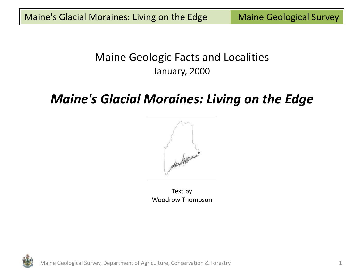## Maine Geologic Facts and Localities January, 2000

# *Maine's Glacial Moraines: Living on the Edge*



Text by Woodrow Thompson

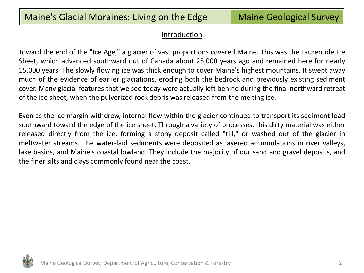#### Introduction

Toward the end of the "Ice Age," a glacier of vast proportions covered Maine. This was the Laurentide Ice Sheet, which advanced southward out of Canada about 25,000 years ago and remained here for nearly 15,000 years. The slowly flowing ice was thick enough to cover Maine's highest mountains. It swept away much of the evidence of earlier glaciations, eroding both the bedrock and previously existing sediment cover. Many glacial features that we see today were actually left behind during the final northward retreat of the ice sheet, when the pulverized rock debris was released from the melting ice.

Even as the ice margin withdrew, internal flow within the glacier continued to transport its sediment load southward toward the edge of the ice sheet. Through a variety of processes, this dirty material was either released directly from the ice, forming a stony deposit called "till," or washed out of the glacier in meltwater streams. The water-laid sediments were deposited as layered accumulations in river valleys, lake basins, and Maine's coastal lowland. They include the majority of our sand and gravel deposits, and the finer silts and clays commonly found near the coast.

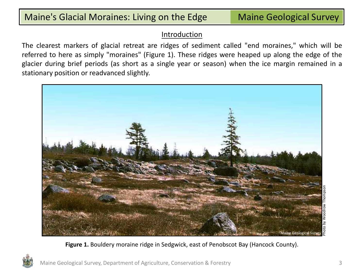#### Introduction

The clearest markers of glacial retreat are ridges of sediment called "end moraines," which will be referred to here as simply "moraines" (Figure 1). These ridges were heaped up along the edge of the glacier during brief periods (as short as a single year or season) when the ice margin remained in a stationary position or readvanced slightly.



**Figure 1.** Bouldery moraine ridge in Sedgwick, east of Penobscot Bay (Hancock County).

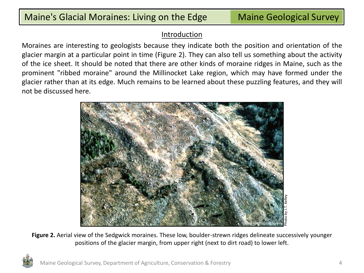#### **Introduction**

Moraines are interesting to geologists because they indicate both the position and orientation of the glacier margin at a particular point in time (Figure 2). They can also tell us something about the activity of the ice sheet. It should be noted that there are other kinds of moraine ridges in Maine, such as the prominent "ribbed moraine" around the Millinocket Lake region, which may have formed under the glacier rather than at its edge. Much remains to be learned about these puzzling features, and they will not be discussed here.



**Figure 2.** Aerial view of the Sedgwick moraines. These low, boulder-strewn ridges delineate successively younger positions of the glacier margin, from upper right (next to dirt road) to lower left.

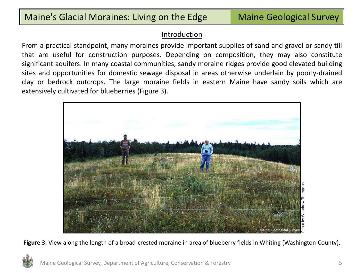#### **Introduction**

From a practical standpoint, many moraines provide important supplies of sand and gravel or sandy till that are useful for construction purposes. Depending on composition, they may also constitute significant aquifers. In many coastal communities, sandy moraine ridges provide good elevated building sites and opportunities for domestic sewage disposal in areas otherwise underlain by poorly-drained clay or bedrock outcrops. The large moraine fields in eastern Maine have sandy soils which are extensively cultivated for blueberries (Figure 3).



**Figure 3.** View along the length of a broad-crested moraine in area of blueberry fields in Whiting (Washington County).

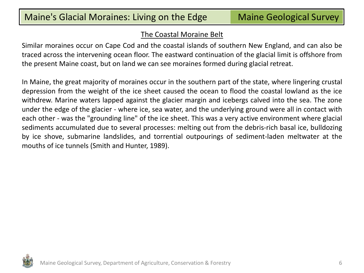#### The Coastal Moraine Belt

Similar moraines occur on Cape Cod and the coastal islands of southern New England, and can also be traced across the intervening ocean floor. The eastward continuation of the glacial limit is offshore from the present Maine coast, but on land we can see moraines formed during glacial retreat.

In Maine, the great majority of moraines occur in the southern part of the state, where lingering crustal depression from the weight of the ice sheet caused the ocean to flood the coastal lowland as the ice withdrew. Marine waters lapped against the glacier margin and icebergs calved into the sea. The zone under the edge of the glacier - where ice, sea water, and the underlying ground were all in contact with each other - was the "grounding line" of the ice sheet. This was a very active environment where glacial sediments accumulated due to several processes: melting out from the debris-rich basal ice, bulldozing by ice shove, submarine landslides, and torrential outpourings of sediment-laden meltwater at the mouths of ice tunnels (Smith and Hunter, 1989).

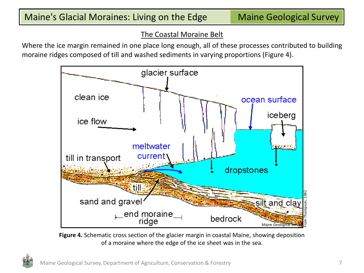#### The Coastal Moraine Belt

Where the ice margin remained in one place long enough, all of these processes contributed to building moraine ridges composed of till and washed sediments in varying proportions (Figure 4).



**Figure 4.** Schematic cross section of the glacier margin in coastal Maine, showing deposition of a moraine where the edge of the ice sheet was in the sea.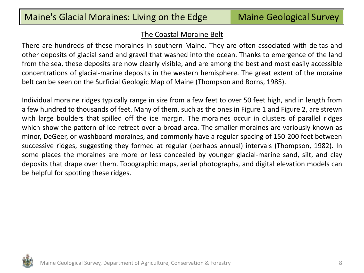#### The Coastal Moraine Belt

There are hundreds of these moraines in southern Maine. They are often associated with deltas and other deposits of glacial sand and gravel that washed into the ocean. Thanks to emergence of the land from the sea, these deposits are now clearly visible, and are among the best and most easily accessible concentrations of glacial-marine deposits in the western hemisphere. The great extent of the moraine belt can be seen on the Surficial Geologic Map of Maine (Thompson and Borns, 1985).

Individual moraine ridges typically range in size from a few feet to over 50 feet high, and in length from a few hundred to thousands of feet. Many of them, such as the ones in Figure 1 and Figure 2, are strewn with large boulders that spilled off the ice margin. The moraines occur in clusters of parallel ridges which show the pattern of ice retreat over a broad area. The smaller moraines are variously known as minor, DeGeer, or washboard moraines, and commonly have a regular spacing of 150-200 feet between successive ridges, suggesting they formed at regular (perhaps annual) intervals (Thompson, 1982). In some places the moraines are more or less concealed by younger glacial-marine sand, silt, and clay deposits that drape over them. Topographic maps, aerial photographs, and digital elevation models can be helpful for spotting these ridges.

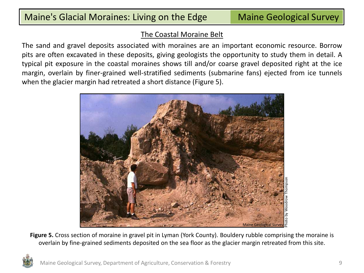#### The Coastal Moraine Belt

The sand and gravel deposits associated with moraines are an important economic resource. Borrow pits are often excavated in these deposits, giving geologists the opportunity to study them in detail. A typical pit exposure in the coastal moraines shows till and/or coarse gravel deposited right at the ice margin, overlain by finer-grained well-stratified sediments (submarine fans) ejected from ice tunnels when the glacier margin had retreated a short distance (Figure 5).



**Figure 5.** Cross section of moraine in gravel pit in Lyman (York County). Bouldery rubble comprising the moraine is overlain by fine-grained sediments deposited on the sea floor as the glacier margin retreated from this site.

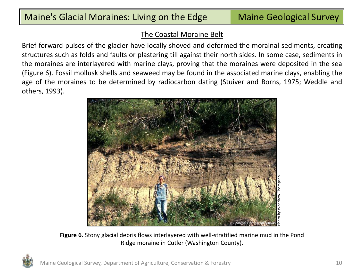#### The Coastal Moraine Belt

Brief forward pulses of the glacier have locally shoved and deformed the morainal sediments, creating structures such as folds and faults or plastering till against their north sides. In some case, sediments in the moraines are interlayered with marine clays, proving that the moraines were deposited in the sea (Figure 6). Fossil mollusk shells and seaweed may be found in the associated marine clays, enabling the age of the moraines to be determined by radiocarbon dating (Stuiver and Borns, 1975; Weddle and others, 1993).



**Figure 6.** Stony glacial debris flows interlayered with well-stratified marine mud in the Pond Ridge moraine in Cutler (Washington County).

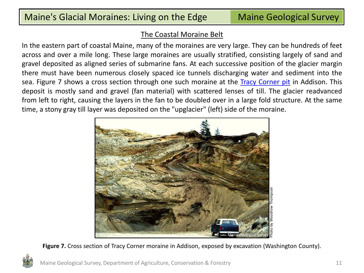#### The Coastal Moraine Belt

In the eastern part of coastal Maine, many of the moraines are very large. They can be hundreds of feet across and over a mile long. These large moraines are usually stratified, consisting largely of sand and gravel deposited as aligned series of submarine fans. At each successive position of the glacier margin there must have been numerous closely spaced ice tunnels discharging water and sediment into the sea. Figure 7 shows a cross section through one such moraine at the [Tracy](http://digitalmaine.com/mgs_publications/306) [Corner](http://digitalmaine.com/mgs_publications/306) [pit](http://digitalmaine.com/mgs_publications/306) in Addison. This deposit is mostly sand and gravel (fan material) with scattered lenses of till. The glacier readvanced from left to right, causing the layers in the fan to be doubled over in a large fold structure. At the same time, a stony gray till layer was deposited on the "upglacier" (left) side of the moraine.



**Figure 7.** Cross section of Tracy Corner moraine in Addison, exposed by excavation (Washington County).

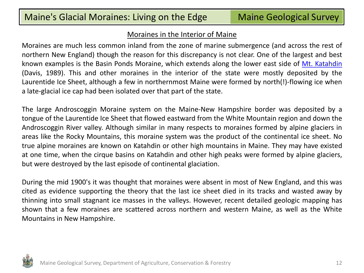#### Moraines in the Interior of Maine

Moraines are much less common inland from the zone of marine submergence (and across the rest of northern New England) though the reason for this discrepancy is not clear. One of the largest and best known examples is the Basin Ponds Moraine, which extends along the lower east side of [Mt.](http://digitalmaine.com/mgs_publications/293) [Katahdin](http://digitalmaine.com/mgs_publications/293) (Davis, 1989). This and other moraines in the interior of the state were mostly deposited by the Laurentide Ice Sheet, although a few in northernmost Maine were formed by north(!)-flowing ice when a late-glacial ice cap had been isolated over that part of the state.

The large Androscoggin Moraine system on the Maine-New Hampshire border was deposited by a tongue of the Laurentide Ice Sheet that flowed eastward from the White Mountain region and down the Androscoggin River valley. Although similar in many respects to moraines formed by alpine glaciers in areas like the Rocky Mountains, this moraine system was the product of the continental ice sheet. No true alpine moraines are known on Katahdin or other high mountains in Maine. They may have existed at one time, when the cirque basins on Katahdin and other high peaks were formed by alpine glaciers, but were destroyed by the last episode of continental glaciation.

During the mid 1900's it was thought that moraines were absent in most of New England, and this was cited as evidence supporting the theory that the last ice sheet died in its tracks and wasted away by thinning into small stagnant ice masses in the valleys. However, recent detailed geologic mapping has shown that a few moraines are scattered across northern and western Maine, as well as the White Mountains in New Hampshire.

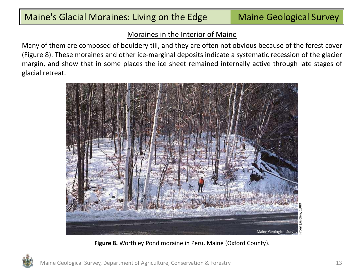#### Moraines in the Interior of Maine

Many of them are composed of bouldery till, and they are often not obvious because of the forest cover (Figure 8). These moraines and other ice-marginal deposits indicate a systematic recession of the glacier margin, and show that in some places the ice sheet remained internally active through late stages of glacial retreat.



**Figure 8.** Worthley Pond moraine in Peru, Maine (Oxford County).